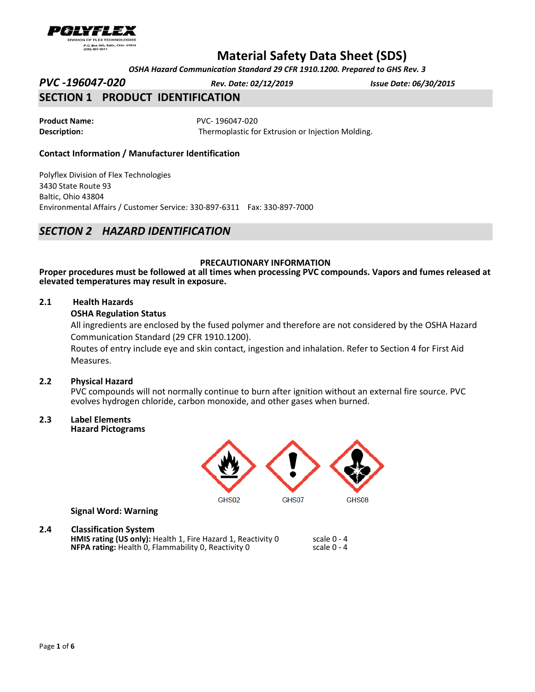

 *OSHA Hazard Communication Standard 29 CFR 1910.1200. Prepared to GHS Rev. 3*

*PVC -196047-020 Rev. Date: 02/12/2019 Issue Date: 06/30/2015*

# **SECTION 1 PRODUCT IDENTIFICATION**

**Product Name:** PVC- 196047-020

**Description:** Thermoplastic for Extrusion or Injection Molding.

## **Contact Information / Manufacturer Identification**

Polyflex Division of Flex Technologies 3430 State Route 93 Baltic, Ohio 43804 Environmental Affairs / Customer Service: 330-897-6311 Fax: 330-897-7000

# *SECTION 2 HAZARD IDENTIFICATION*

### **PRECAUTIONARY INFORMATION**

**Proper procedures must be followed at all times when processing PVC compounds. Vapors and fumes released at elevated temperatures may result in exposure.**

### **2.1 Health Hazards**

### **OSHA Regulation Status**

All ingredients are enclosed by the fused polymer and therefore are not considered by the OSHA Hazard Communication Standard (29 CFR 1910.1200).

Routes of entry include eye and skin contact, ingestion and inhalation. Refer to Section 4 for First Aid Measures.

#### **2.2 Physical Hazard**

PVC compounds will not normally continue to burn after ignition without an external fire source. PVC evolves hydrogen chloride, carbon monoxide, and other gases when burned.

# **2.3 Label Elements**

**Hazard Pictograms** 



**Signal Word: Warning** 

## **2.4 Classification System**

**HMIS rating (US only):** Health 1, Fire Hazard 1, Reactivity 0 scale 0 - 4<br>**NFPA rating:** Health 0. Flammability 0. Reactivity 0 scale 0 - 4 **NFPA rating:** Health 0, Flammability 0, Reactivity 0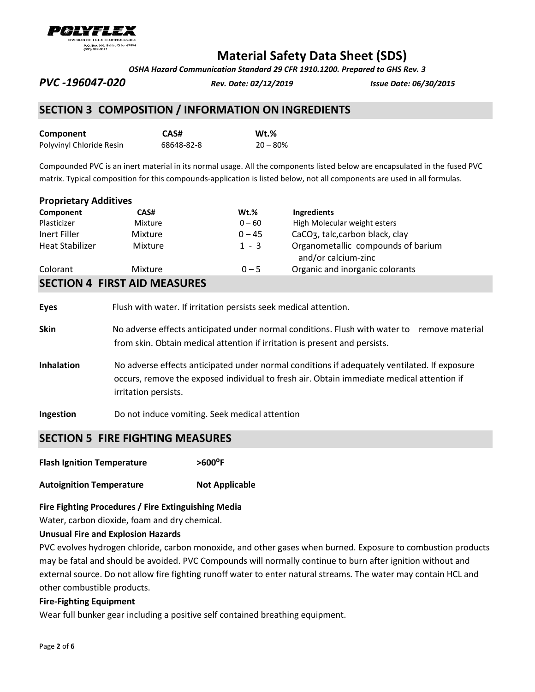

 *OSHA Hazard Communication Standard 29 CFR 1910.1200. Prepared to GHS Rev. 3*

*PVC -196047-020 Rev. Date: 02/12/2019 Issue Date: 06/30/2015*

# **SECTION 3 COMPOSITION / INFORMATION ON INGREDIENTS**

| Component                | CAS#       | $Wt.\%$    |
|--------------------------|------------|------------|
| Polyvinyl Chloride Resin | 68648-82-8 | $20 - 80%$ |

Compounded PVC is an inert material in its normal usage. All the components listed below are encapsulated in the fused PVC matrix. Typical composition for this compounds-application is listed below, not all components are used in all formulas.

| <b>Proprietary Additives</b> |  |
|------------------------------|--|
|------------------------------|--|

| Component                           | CAS#    | $Wt.$ %  | Ingredients                                               |  |
|-------------------------------------|---------|----------|-----------------------------------------------------------|--|
| Plasticizer                         | Mixture | $0 - 60$ | High Molecular weight esters                              |  |
| Inert Filler                        | Mixture | $0 - 45$ | CaCO <sub>3</sub> , talc, carbon black, clay              |  |
| <b>Heat Stabilizer</b>              | Mixture | $1 - 3$  | Organometallic compounds of barium<br>and/or calcium-zinc |  |
| Colorant                            | Mixture | $0 - 5$  | Organic and inorganic colorants                           |  |
| <b>SECTION 4 FIRST AID MEASURES</b> |         |          |                                                           |  |

# **Eyes** Flush with water. If irritation persists seek medical attention.

- **Skin** No adverse effects anticipated under normal conditions. Flush with water to remove material from skin. Obtain medical attention if irritation is present and persists.
- **Inhalation** No adverse effects anticipated under normal conditions if adequately ventilated. If exposure occurs, remove the exposed individual to fresh air. Obtain immediate medical attention if irritation persists.
- **Ingestion** Do not induce vomiting. Seek medical attention

# **SECTION 5 FIRE FIGHTING MEASURES**

**Flash Ignition Temperature ˃600⁰F** 

**Autoignition Temperature <b>Not Applicable** 

#### **Fire Fighting Procedures / Fire Extinguishing Media**

Water, carbon dioxide, foam and dry chemical.

#### **Unusual Fire and Explosion Hazards**

PVC evolves hydrogen chloride, carbon monoxide, and other gases when burned. Exposure to combustion products may be fatal and should be avoided. PVC Compounds will normally continue to burn after ignition without and external source. Do not allow fire fighting runoff water to enter natural streams. The water may contain HCL and other combustible products.

## **Fire-Fighting Equipment**

Wear full bunker gear including a positive self contained breathing equipment.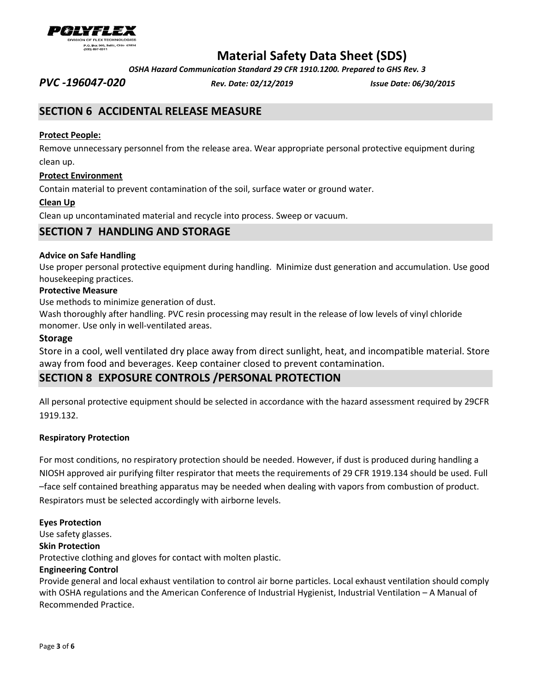

 *OSHA Hazard Communication Standard 29 CFR 1910.1200. Prepared to GHS Rev. 3*

*PVC -196047-020 Rev. Date: 02/12/2019 Issue Date: 06/30/2015*

# **SECTION 6 ACCIDENTAL RELEASE MEASURE**

## **Protect People:**

Remove unnecessary personnel from the release area. Wear appropriate personal protective equipment during clean up.

## **Protect Environment**

Contain material to prevent contamination of the soil, surface water or ground water.

## **Clean Up**

Clean up uncontaminated material and recycle into process. Sweep or vacuum.

# **SECTION 7 HANDLING AND STORAGE**

## **Advice on Safe Handling**

Use proper personal protective equipment during handling. Minimize dust generation and accumulation. Use good housekeeping practices.

### **Protective Measure**

Use methods to minimize generation of dust.

Wash thoroughly after handling. PVC resin processing may result in the release of low levels of vinyl chloride monomer. Use only in well-ventilated areas.

### **Storage**

Store in a cool, well ventilated dry place away from direct sunlight, heat, and incompatible material. Store away from food and beverages. Keep container closed to prevent contamination.

# **SECTION 8 EXPOSURE CONTROLS /PERSONAL PROTECTION**

All personal protective equipment should be selected in accordance with the hazard assessment required by 29CFR 1919.132.

## **Respiratory Protection**

For most conditions, no respiratory protection should be needed. However, if dust is produced during handling a NIOSH approved air purifying filter respirator that meets the requirements of 29 CFR 1919.134 should be used. Full –face self contained breathing apparatus may be needed when dealing with vapors from combustion of product. Respirators must be selected accordingly with airborne levels.

#### **Eyes Protection**

Use safety glasses.

# **Skin Protection**

Protective clothing and gloves for contact with molten plastic.

## **Engineering Control**

Provide general and local exhaust ventilation to control air borne particles. Local exhaust ventilation should comply with OSHA regulations and the American Conference of Industrial Hygienist, Industrial Ventilation – A Manual of Recommended Practice.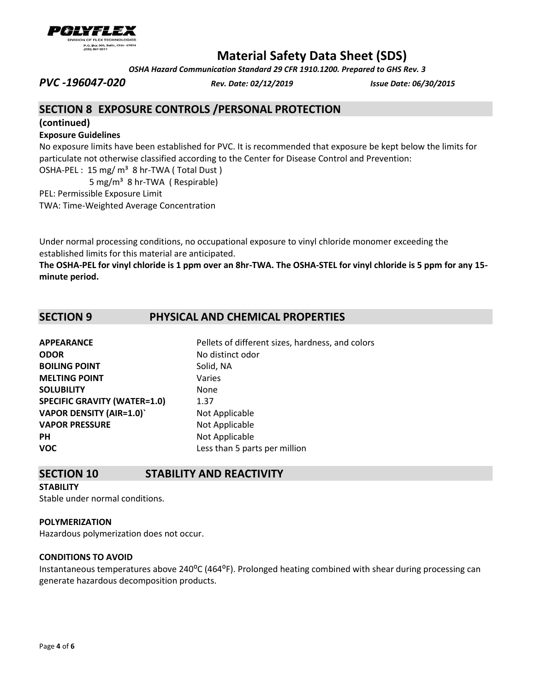

 *OSHA Hazard Communication Standard 29 CFR 1910.1200. Prepared to GHS Rev. 3*

*PVC -196047-020 Rev. Date: 02/12/2019 Issue Date: 06/30/2015*

# **SECTION 8 EXPOSURE CONTROLS /PERSONAL PROTECTION**

### **(continued)**

## **Exposure Guidelines**

No exposure limits have been established for PVC. It is recommended that exposure be kept below the limits for particulate not otherwise classified according to the Center for Disease Control and Prevention:

OSHA-PEL : 15 mg/ m<sup>3</sup> 8 hr-TWA (Total Dust)

5 mg/m³ 8 hr-TWA ( Respirable)

PEL: Permissible Exposure Limit

TWA: Time-Weighted Average Concentration

Under normal processing conditions, no occupational exposure to vinyl chloride monomer exceeding the established limits for this material are anticipated.

**The OSHA-PEL for vinyl chloride is 1 ppm over an 8hr-TWA. The OSHA-STEL for vinyl chloride is 5 ppm for any 15 minute period.**

# **SECTION 9 PHYSICAL AND CHEMICAL PROPERTIES**

| <b>APPEARANCE</b>                   | Pellets of different sizes, hardness, and colors |
|-------------------------------------|--------------------------------------------------|
| <b>ODOR</b>                         | No distinct odor                                 |
| <b>BOILING POINT</b>                | Solid, NA                                        |
| <b>MELTING POINT</b>                | Varies                                           |
| <b>SOLUBILITY</b>                   | None                                             |
| <b>SPECIFIC GRAVITY (WATER=1.0)</b> | 1.37                                             |
| <b>VAPOR DENSITY (AIR=1.0)'</b>     | Not Applicable                                   |
| <b>VAPOR PRESSURE</b>               | Not Applicable                                   |
| <b>PH</b>                           | Not Applicable                                   |
| <b>VOC</b>                          | Less than 5 parts per million                    |

# **SECTION 10 STABILITY AND REACTIVITY**

**STABILITY** Stable under normal conditions.

## **POLYMERIZATION**

Hazardous polymerization does not occur.

# **CONDITIONS TO AVOID**

Instantaneous temperatures above  $240^{\circ}$ C (464 $^{\circ}$ F). Prolonged heating combined with shear during processing can generate hazardous decomposition products.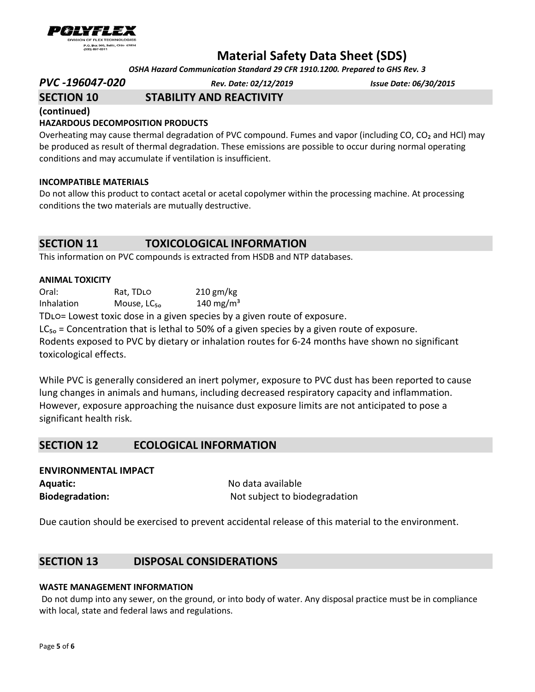

 *OSHA Hazard Communication Standard 29 CFR 1910.1200. Prepared to GHS Rev. 3*

*PVC -196047-020 Rev. Date: 02/12/2019 Issue Date: 06/30/2015*

# **SECTION 10 STABILITY AND REACTIVITY**

**(continued)** 

# **HAZARDOUS DECOMPOSITION PRODUCTS**

Overheating may cause thermal degradation of PVC compound. Fumes and vapor (including CO, CO<sub>2</sub> and HCl) may be produced as result of thermal degradation. These emissions are possible to occur during normal operating conditions and may accumulate if ventilation is insufficient.

## **INCOMPATIBLE MATERIALS**

Do not allow this product to contact acetal or acetal copolymer within the processing machine. At processing conditions the two materials are mutually destructive.

# **SECTION 11 TOXICOLOGICAL INFORMATION**

This information on PVC compounds is extracted from HSDB and NTP databases.

### **ANIMAL TOXICITY**

Oral: Rat, TDLO 210 gm/kg Inhalation Mouse,  $LC_{50}$  140 mg/m<sup>3</sup>

TDLO= Lowest toxic dose in a given species by a given route of exposure.

 $LC_{50}$  = Concentration that is lethal to 50% of a given species by a given route of exposure. Rodents exposed to PVC by dietary or inhalation routes for 6-24 months have shown no significant toxicological effects.

While PVC is generally considered an inert polymer, exposure to PVC dust has been reported to cause lung changes in animals and humans, including decreased respiratory capacity and inflammation. However, exposure approaching the nuisance dust exposure limits are not anticipated to pose a significant health risk.

# **SECTION 12 ECOLOGICAL INFORMATION**

| <b>ENVIRONMENTAL IMPACT</b> |                    |
|-----------------------------|--------------------|
| <b>Aquatic:</b>             | No data available  |
| <b>Biodegradation:</b>      | Not subject to bio |

**C**t to biodegradation:

Due caution should be exercised to prevent accidental release of this material to the environment.

# **SECTION 13 DISPOSAL CONSIDERATIONS**

## **WASTE MANAGEMENT INFORMATION**

Do not dump into any sewer, on the ground, or into body of water. Any disposal practice must be in compliance with local, state and federal laws and regulations.